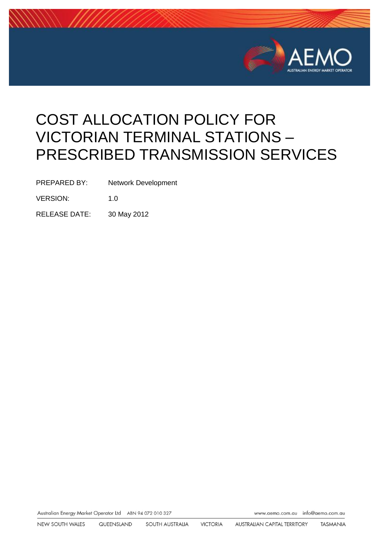

# COST ALLOCATION POLICY FOR VICTORIAN TERMINAL STATIONS – PRESCRIBED TRANSMISSION SERVICES

PREPARED BY: Network Development

VERSION: 1.0

RELEASE DATE: 30 May 2012

Australian Energy Market Operator Ltd ABN 94 072 010 327

www.aemo.com.au info@aemo.com.au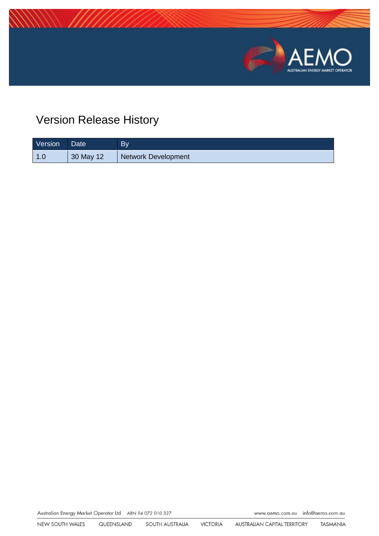

# Version Release History

| Version | Date <sup>1</sup> | <b>By</b>                  |
|---------|-------------------|----------------------------|
| _1.0    | 30 May 12         | <b>Network Development</b> |

Australian Energy Market Operator Ltd ABN 94 072 010 327

www.aemo.com.au info@aemo.com.au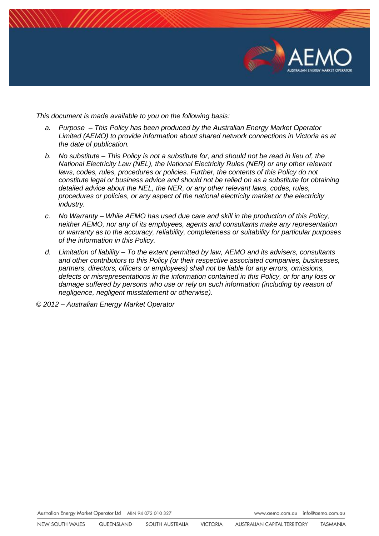

*This document is made available to you on the following basis:* 

- *a. Purpose – This Policy has been produced by the Australian Energy Market Operator Limited (AEMO) to provide information about shared network connections in Victoria as at the date of publication.*
- *b. No substitute – This Policy is not a substitute for, and should not be read in lieu of, the National Electricity Law (NEL), the National Electricity Rules (NER) or any other relevant laws, codes, rules, procedures or policies. Further, the contents of this Policy do not constitute legal or business advice and should not be relied on as a substitute for obtaining detailed advice about the NEL, the NER, or any other relevant laws, codes, rules, procedures or policies, or any aspect of the national electricity market or the electricity industry.*
- *c. No Warranty – While AEMO has used due care and skill in the production of this Policy, neither AEMO, nor any of its employees, agents and consultants make any representation or warranty as to the accuracy, reliability, completeness or suitability for particular purposes of the information in this Policy.*
- *d. Limitation of liability – To the extent permitted by law, AEMO and its advisers, consultants and other contributors to this Policy (or their respective associated companies, businesses, partners, directors, officers or employees) shall not be liable for any errors, omissions, defects or misrepresentations in the information contained in this Policy, or for any loss or damage suffered by persons who use or rely on such information (including by reason of negligence, negligent misstatement or otherwise).*

*© 2012 – Australian Energy Market Operator*

Australian Energy Market Operator Ltd ABN 94 072 010 327

www.aemo.com.au info@aemo.com.au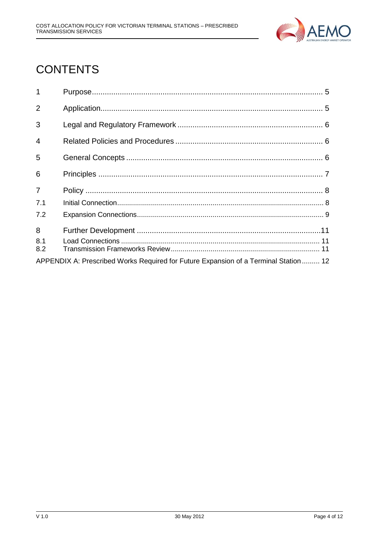

# **CONTENTS**

| $\mathbf{1}$                                                                        |  |  |
|-------------------------------------------------------------------------------------|--|--|
| $\overline{2}$                                                                      |  |  |
| 3                                                                                   |  |  |
| $\overline{4}$                                                                      |  |  |
| 5                                                                                   |  |  |
| 6                                                                                   |  |  |
| $\overline{7}$                                                                      |  |  |
| 7.1                                                                                 |  |  |
| 7.2                                                                                 |  |  |
| 8                                                                                   |  |  |
| 8.1                                                                                 |  |  |
| 8.2                                                                                 |  |  |
| APPENDIX A: Prescribed Works Required for Future Expansion of a Terminal Station 12 |  |  |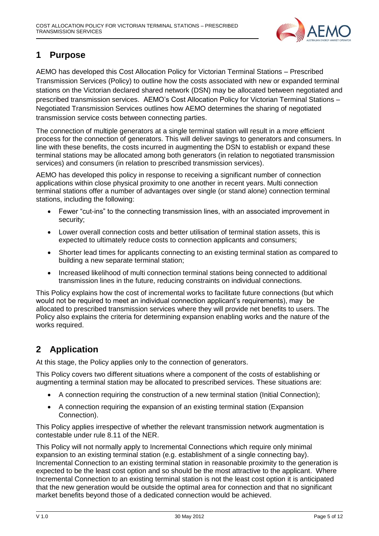

### <span id="page-4-0"></span>**1 Purpose**

AEMO has developed this Cost Allocation Policy for Victorian Terminal Stations – Prescribed Transmission Services (Policy) to outline how the costs associated with new or expanded terminal stations on the Victorian declared shared network (DSN) may be allocated between negotiated and prescribed transmission services. AEMO's Cost Allocation Policy for Victorian Terminal Stations – Negotiated Transmission Services outlines how AEMO determines the sharing of negotiated transmission service costs between connecting parties.

The connection of multiple generators at a single terminal station will result in a more efficient process for the connection of generators. This will deliver savings to generators and consumers. In line with these benefits, the costs incurred in augmenting the DSN to establish or expand these terminal stations may be allocated among both generators (in relation to negotiated transmission services) and consumers (in relation to prescribed transmission services).

AEMO has developed this policy in response to receiving a significant number of connection applications within close physical proximity to one another in recent years. Multi connection terminal stations offer a number of advantages over single (or stand alone) connection terminal stations, including the following:

- Fewer "cut-ins" to the connecting transmission lines, with an associated improvement in security;
- Lower overall connection costs and better utilisation of terminal station assets, this is expected to ultimately reduce costs to connection applicants and consumers;
- Shorter lead times for applicants connecting to an existing terminal station as compared to building a new separate terminal station;
- Increased likelihood of multi connection terminal stations being connected to additional transmission lines in the future, reducing constraints on individual connections.

This Policy explains how the cost of incremental works to facilitate future connections (but which would not be required to meet an individual connection applicant's requirements), may be allocated to prescribed transmission services where they will provide net benefits to users. The Policy also explains the criteria for determining expansion enabling works and the nature of the works required.

# <span id="page-4-1"></span>**2 Application**

At this stage, the Policy applies only to the connection of generators.

This Policy covers two different situations where a component of the costs of establishing or augmenting a terminal station may be allocated to prescribed services. These situations are:

- A connection requiring the construction of a new terminal station (Initial Connection);
- A connection requiring the expansion of an existing terminal station (Expansion Connection).

This Policy applies irrespective of whether the relevant transmission network augmentation is contestable under rule 8.11 of the NER.

This Policy will not normally apply to Incremental Connections which require only minimal expansion to an existing terminal station (e.g. establishment of a single connecting bay). Incremental Connection to an existing terminal station in reasonable proximity to the generation is expected to be the least cost option and so should be the most attractive to the applicant. Where Incremental Connection to an existing terminal station is not the least cost option it is anticipated that the new generation would be outside the optimal area for connection and that no significant market benefits beyond those of a dedicated connection would be achieved.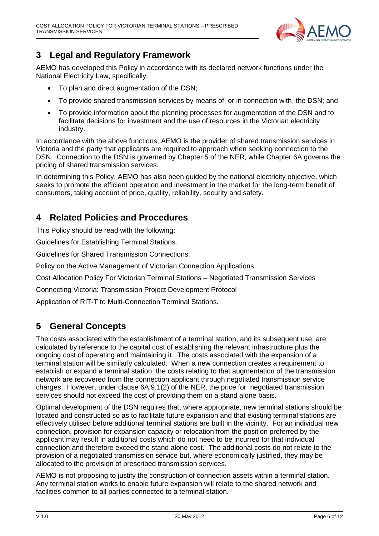

## <span id="page-5-0"></span>**3 Legal and Regulatory Framework**

AEMO has developed this Policy in accordance with its declared network functions under the National Electricity Law, specifically:

- To plan and direct augmentation of the DSN;
- To provide shared transmission services by means of, or in connection with, the DSN; and
- To provide information about the planning processes for augmentation of the DSN and to facilitate decisions for investment and the use of resources in the Victorian electricity industry.

In accordance with the above functions, AEMO is the provider of shared transmission services in Victoria and the party that applicants are required to approach when seeking connection to the DSN. Connection to the DSN is governed by Chapter 5 of the NER, while Chapter 6A governs the pricing of shared transmission services.

In determining this Policy, AEMO has also been guided by the national electricity objective, which seeks to promote the efficient operation and investment in the market for the long-term benefit of consumers, taking account of price, quality, reliability, security and safety.

### <span id="page-5-1"></span>**4 Related Policies and Procedures**

This Policy should be read with the following:

Guidelines for Establishing Terminal Stations.

Guidelines for Shared Transmission Connections.

Policy on the Active Management of Victorian Connection Applications.

Cost Allocation Policy For Victorian Terminal Stations – Negotiated Transmission Services

Connecting Victoria: Transmission Project Development Protocol

Application of RIT-T to Multi-Connection Terminal Stations.

### <span id="page-5-2"></span>**5 General Concepts**

The costs associated with the establishment of a terminal station, and its subsequent use, are calculated by reference to the capital cost of establishing the relevant infrastructure plus the ongoing cost of operating and maintaining it. The costs associated with the expansion of a terminal station will be similarly calculated. When a new connection creates a requirement to establish or expand a terminal station, the costs relating to that augmentation of the transmission network are recovered from the connection applicant through negotiated transmission service charges. However, under clause 6A.9.1(2) of the NER, the price for negotiated transmission services should not exceed the cost of providing them on a stand alone basis.

Optimal development of the DSN requires that, where appropriate, new terminal stations should be located and constructed so as to facilitate future expansion and that existing terminal stations are effectively utilised before additional terminal stations are built in the vicinity. For an individual new connection, provision for expansion capacity or relocation from the position preferred by the applicant may result in additional costs which do not need to be incurred for that individual connection and therefore exceed the stand alone cost. The additional costs do not relate to the provision of a negotiated transmission service but, where economically justified, they may be allocated to the provision of prescribed transmission services.

AEMO is not proposing to justify the construction of connection assets within a terminal station. Any terminal station works to enable future expansion will relate to the shared network and facilities common to all parties connected to a terminal station.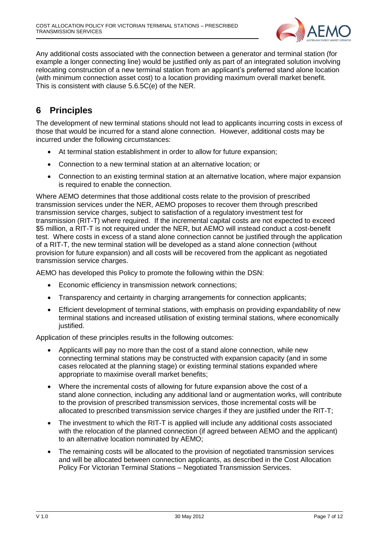

Any additional costs associated with the connection between a generator and terminal station (for example a longer connecting line) would be justified only as part of an integrated solution involving relocating construction of a new terminal station from an applicant's preferred stand alone location (with minimum connection asset cost) to a location providing maximum overall market benefit. This is consistent with clause 5.6.5C(e) of the NER.

# <span id="page-6-0"></span>**6 Principles**

The development of new terminal stations should not lead to applicants incurring costs in excess of those that would be incurred for a stand alone connection. However, additional costs may be incurred under the following circumstances:

- At terminal station establishment in order to allow for future expansion;
- Connection to a new terminal station at an alternative location; or
- Connection to an existing terminal station at an alternative location, where major expansion is required to enable the connection.

Where AEMO determines that those additional costs relate to the provision of prescribed transmission services under the NER, AEMO proposes to recover them through prescribed transmission service charges, subject to satisfaction of a regulatory investment test for transmission (RIT-T) where required. If the incremental capital costs are not expected to exceed \$5 million, a RIT-T is not required under the NER, but AEMO will instead conduct a cost-benefit test. Where costs in excess of a stand alone connection cannot be justified through the application of a RIT-T, the new terminal station will be developed as a stand alone connection (without provision for future expansion) and all costs will be recovered from the applicant as negotiated transmission service charges.

AEMO has developed this Policy to promote the following within the DSN:

- Economic efficiency in transmission network connections;
- Transparency and certainty in charging arrangements for connection applicants;
- Efficient development of terminal stations, with emphasis on providing expandability of new terminal stations and increased utilisation of existing terminal stations, where economically justified.

Application of these principles results in the following outcomes:

- Applicants will pay no more than the cost of a stand alone connection, while new connecting terminal stations may be constructed with expansion capacity (and in some cases relocated at the planning stage) or existing terminal stations expanded where appropriate to maximise overall market benefits;
- Where the incremental costs of allowing for future expansion above the cost of a stand alone connection, including any additional land or augmentation works, will contribute to the provision of prescribed transmission services, those incremental costs will be allocated to prescribed transmission service charges if they are justified under the RIT-T;
- The investment to which the RIT-T is applied will include any additional costs associated with the relocation of the planned connection (if agreed between AEMO and the applicant) to an alternative location nominated by AEMO;
- The remaining costs will be allocated to the provision of negotiated transmission services and will be allocated between connection applicants, as described in the Cost Allocation Policy For Victorian Terminal Stations – Negotiated Transmission Services.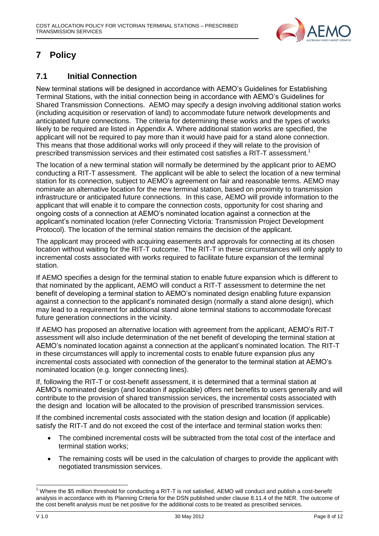

# <span id="page-7-0"></span>**7 Policy**

#### <span id="page-7-1"></span>**7.1 Initial Connection**

New terminal stations will be designed in accordance with AEMO's Guidelines for Establishing Terminal Stations, with the initial connection being in accordance with AEMO's Guidelines for Shared Transmission Connections. AEMO may specify a design involving additional station works (including acquisition or reservation of land) to accommodate future network developments and anticipated future connections. The criteria for determining these works and the types of works likely to be required are listed in Appendix A. Where additional station works are specified, the applicant will not be required to pay more than it would have paid for a stand alone connection. This means that those additional works will only proceed if they will relate to the provision of prescribed transmission services and their estimated cost satisfies a RIT-T assessment.<sup>1</sup>

The location of a new terminal station will normally be determined by the applicant prior to AEMO conducting a RIT-T assessment. The applicant will be able to select the location of a new terminal station for its connection, subject to AEMO's agreement on fair and reasonable terms. AEMO may nominate an alternative location for the new terminal station, based on proximity to transmission infrastructure or anticipated future connections. In this case, AEMO will provide information to the applicant that will enable it to compare the connection costs, opportunity for cost sharing and ongoing costs of a connection at AEMO's nominated location against a connection at the applicant's nominated location (refer Connecting Victoria: Transmission Project Development Protocol). The location of the terminal station remains the decision of the applicant.

The applicant may proceed with acquiring easements and approvals for connecting at its chosen location without waiting for the RIT-T outcome. The RIT-T in these circumstances will only apply to incremental costs associated with works required to facilitate future expansion of the terminal station.

If AEMO specifies a design for the terminal station to enable future expansion which is different to that nominated by the applicant, AEMO will conduct a RIT-T assessment to determine the net benefit of developing a terminal station to AEMO's nominated design enabling future expansion against a connection to the applicant's nominated design (normally a stand alone design), which may lead to a requirement for additional stand alone terminal stations to accommodate forecast future generation connections in the vicinity.

If AEMO has proposed an alternative location with agreement from the applicant, AEMO's RIT-T assessment will also include determination of the net benefit of developing the terminal station at AEMO's nominated location against a connection at the applicant's nominated location. The RIT-T in these circumstances will apply to incremental costs to enable future expansion plus any incremental costs associated with connection of the generator to the terminal station at AEMO's nominated location (e.g. longer connecting lines).

If, following the RIT-T or cost-benefit assessment, it is determined that a terminal station at AEMO's nominated design (and location if applicable) offers net benefits to users generally and will contribute to the provision of shared transmission services, the incremental costs associated with the design and location will be allocated to the provision of prescribed transmission services.

If the combined incremental costs associated with the station design and location (if applicable) satisfy the RIT-T and do not exceed the cost of the interface and terminal station works then:

- The combined incremental costs will be subtracted from the total cost of the interface and terminal station works;
- The remaining costs will be used in the calculation of charges to provide the applicant with negotiated transmission services.

<sup>-</sup><sup>1</sup> Where the \$5 million threshold for conducting a RIT-T is not satisfied, AEMO will conduct and publish a cost-benefit analysis in accordance with its Planning Criteria for the DSN published under clause 8.11.4 of the NER. The outcome of the cost benefit analysis must be net positive for the additional costs to be treated as prescribed services.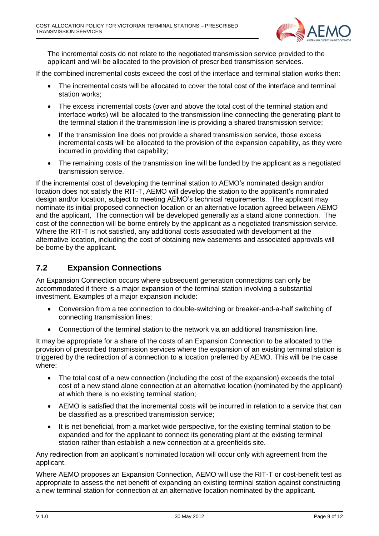

The incremental costs do not relate to the negotiated transmission service provided to the applicant and will be allocated to the provision of prescribed transmission services.

If the combined incremental costs exceed the cost of the interface and terminal station works then:

- The incremental costs will be allocated to cover the total cost of the interface and terminal station works;
- The excess incremental costs (over and above the total cost of the terminal station and interface works) will be allocated to the transmission line connecting the generating plant to the terminal station if the transmission line is providing a shared transmission service;
- If the transmission line does not provide a shared transmission service, those excess incremental costs will be allocated to the provision of the expansion capability, as they were incurred in providing that capability;
- The remaining costs of the transmission line will be funded by the applicant as a negotiated transmission service.

If the incremental cost of developing the terminal station to AEMO's nominated design and/or location does not satisfy the RIT-T, AEMO will develop the station to the applicant's nominated design and/or location, subject to meeting AEMO's technical requirements. The applicant may nominate its initial proposed connection location or an alternative location agreed between AEMO and the applicant, The connection will be developed generally as a stand alone connection. The cost of the connection will be borne entirely by the applicant as a negotiated transmission service. Where the RIT-T is not satisfied, any additional costs associated with development at the alternative location, including the cost of obtaining new easements and associated approvals will be borne by the applicant.

#### <span id="page-8-0"></span>**7.2 Expansion Connections**

An Expansion Connection occurs where subsequent generation connections can only be accommodated if there is a major expansion of the terminal station involving a substantial investment. Examples of a major expansion include:

- Conversion from a tee connection to double-switching or breaker-and-a-half switching of connecting transmission lines;
- Connection of the terminal station to the network via an additional transmission line.

It may be appropriate for a share of the costs of an Expansion Connection to be allocated to the provision of prescribed transmission services where the expansion of an existing terminal station is triggered by the redirection of a connection to a location preferred by AEMO. This will be the case where:

- The total cost of a new connection (including the cost of the expansion) exceeds the total cost of a new stand alone connection at an alternative location (nominated by the applicant) at which there is no existing terminal station;
- AEMO is satisfied that the incremental costs will be incurred in relation to a service that can be classified as a prescribed transmission service;
- It is net beneficial, from a market-wide perspective, for the existing terminal station to be expanded and for the applicant to connect its generating plant at the existing terminal station rather than establish a new connection at a greenfields site.

Any redirection from an applicant's nominated location will occur only with agreement from the applicant.

Where AEMO proposes an Expansion Connection, AEMO will use the RIT-T or cost-benefit test as appropriate to assess the net benefit of expanding an existing terminal station against constructing a new terminal station for connection at an alternative location nominated by the applicant.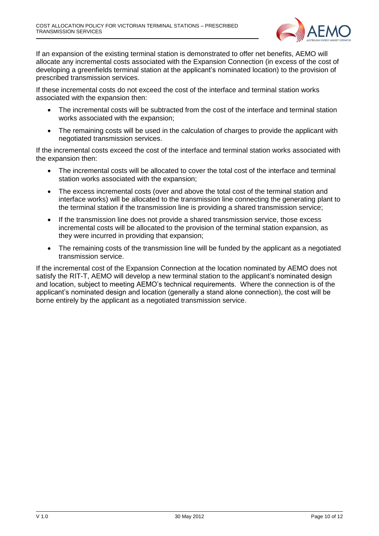

If an expansion of the existing terminal station is demonstrated to offer net benefits, AEMO will allocate any incremental costs associated with the Expansion Connection (in excess of the cost of developing a greenfields terminal station at the applicant's nominated location) to the provision of prescribed transmission services.

If these incremental costs do not exceed the cost of the interface and terminal station works associated with the expansion then:

- The incremental costs will be subtracted from the cost of the interface and terminal station works associated with the expansion;
- The remaining costs will be used in the calculation of charges to provide the applicant with negotiated transmission services.

If the incremental costs exceed the cost of the interface and terminal station works associated with the expansion then:

- The incremental costs will be allocated to cover the total cost of the interface and terminal station works associated with the expansion;
- The excess incremental costs (over and above the total cost of the terminal station and interface works) will be allocated to the transmission line connecting the generating plant to the terminal station if the transmission line is providing a shared transmission service;
- If the transmission line does not provide a shared transmission service, those excess incremental costs will be allocated to the provision of the terminal station expansion, as they were incurred in providing that expansion;
- The remaining costs of the transmission line will be funded by the applicant as a negotiated transmission service.

If the incremental cost of the Expansion Connection at the location nominated by AEMO does not satisfy the RIT-T, AEMO will develop a new terminal station to the applicant's nominated design and location, subject to meeting AEMO's technical requirements. Where the connection is of the applicant's nominated design and location (generally a stand alone connection), the cost will be borne entirely by the applicant as a negotiated transmission service.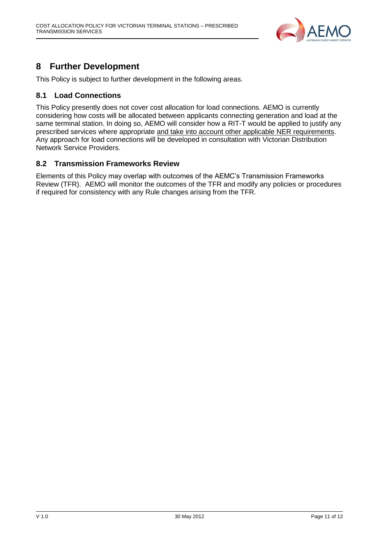

## <span id="page-10-0"></span>**8 Further Development**

This Policy is subject to further development in the following areas.

#### <span id="page-10-1"></span>**8.1 Load Connections**

This Policy presently does not cover cost allocation for load connections. AEMO is currently considering how costs will be allocated between applicants connecting generation and load at the same terminal station. In doing so, AEMO will consider how a RIT-T would be applied to justify any prescribed services where appropriate and take into account other applicable NER requirements. Any approach for load connections will be developed in consultation with Victorian Distribution Network Service Providers.

#### <span id="page-10-2"></span>**8.2 Transmission Frameworks Review**

Elements of this Policy may overlap with outcomes of the AEMC's Transmission Frameworks Review (TFR). AEMO will monitor the outcomes of the TFR and modify any policies or procedures if required for consistency with any Rule changes arising from the TFR.